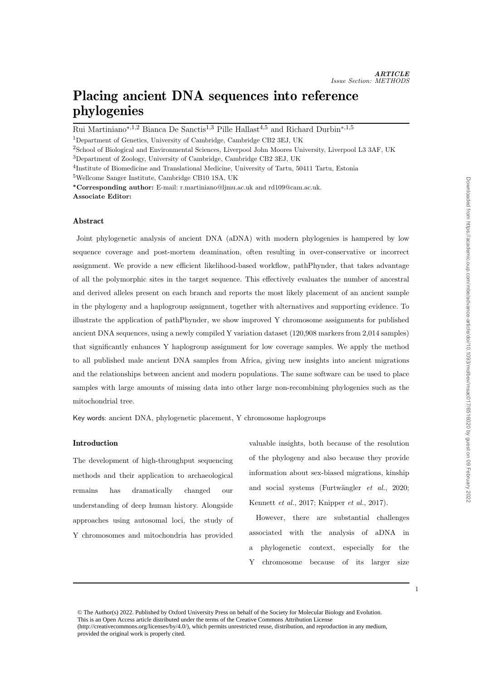# Placing ancient DNA sequences into reference phylogenies

Rui Martiniano<sup>∗,1,2</sup> Bianca De Sanctis<sup>1,3</sup> Pille Hallast<sup>4,5</sup> and Richard Durbin<sup>∗,1,5</sup>

<sup>1</sup>Department of Genetics, University of Cambridge, Cambridge CB2 3EJ, UK

<sup>2</sup>School of Biological and Environmental Sciences, Liverpool John Moores University, Liverpool L3 3AF, UK <sup>3</sup>Department of Zoology, University of Cambridge, Cambridge CB2 3EJ, UK

<sup>4</sup>Institute of Biomedicine and Translational Medicine, University of Tartu, 50411 Tartu, Estonia

<sup>5</sup>Wellcome Sanger Institute, Cambridge CB10 1SA, UK

<sup>∗</sup>Corresponding author: E-mail: r.martiniano@ljmu.ac.uk and rd109@cam.ac.uk. Associate Editor:

# Abstract

Joint phylogenetic analysis of ancient DNA (aDNA) with modern phylogenies is hampered by low sequence coverage and post-mortem deamination, often resulting in over-conservative or incorrect assignment. We provide a new efficient likelihood-based workflow, pathPhynder, that takes advantage of all the polymorphic sites in the target sequence. This effectively evaluates the number of ancestral and derived alleles present on each branch and reports the most likely placement of an ancient sample in the phylogeny and a haplogroup assignment, together with alternatives and supporting evidence. To illustrate the application of pathPhynder, we show improved Y chromosome assignments for published ancient DNA sequences, using a newly compiled Y variation dataset (120,908 markers from 2,014 samples) that significantly enhances Y haplogroup assignment for low coverage samples. We apply the method to all published male ancient DNA samples from Africa, giving new insights into ancient migrations and the relationships between ancient and modern populations. The same software can be used to place samples with large amounts of missing data into other large non-recombining phylogenies such as the mitochondrial tree.

Key words: ancient DNA, phylogenetic placement, Y chromosome haplogroups

## Introduction

The development of high-throughput sequencing methods and their application to archaeological remains has dramatically changed our understanding of deep human history. Alongside approaches using autosomal loci, the study of Y chromosomes and mitochondria has provided

valuable insights, both because of the resolution of the phylogeny and also because they provide information about sex-biased migrations, kinship and social systems (Furtwängler  $et \ al., \ 2020;$ Kennett et al., 2017; Knipper et al., 2017).

However, there are substantial challenges associated with the analysis of aDNA in a phylogenetic context, especially for the Y chromosome because of its larger size Downloaded from https://academic.oup.com/mbe/advance-article/doi/10.1093/molbev/msac017/6516020 by guest on 09 February 2022 Downloaded from https://academic.oup.com/mbe/advance-article/doi/10.1093/molbev/msac017/6516020 by guest on 09 February 2022

<sup>1</sup>

<sup>©</sup> The Author(s) 2022. Published by Oxford University Press on behalf of the Society for Molecular Biology and Evolution. This is an Open Access article distributed under the terms of the Creative Commons Attribution License (http://creativecommons.org/licenses/by/4.0/), which permits unrestricted reuse, distribution, and reproduction in any medium, provided the original work is properly cited.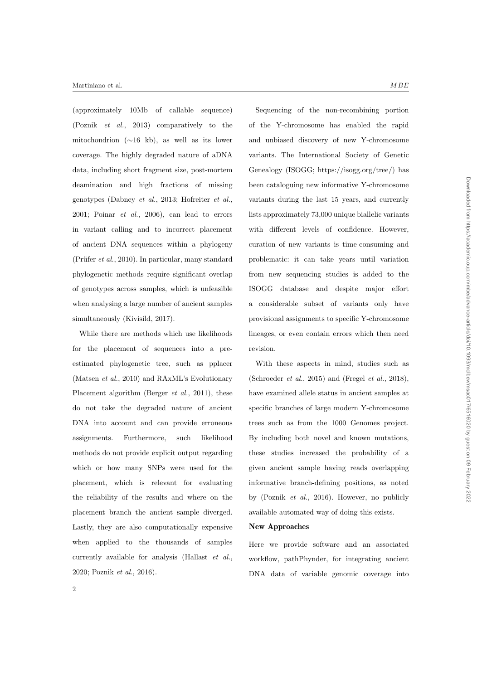(approximately 10Mb of callable sequence) (Poznik et al., 2013) comparatively to the mitochondrion (∼16 kb), as well as its lower coverage. The highly degraded nature of aDNA data, including short fragment size, post-mortem deamination and high fractions of missing genotypes (Dabney et al., 2013; Hofreiter et al., 2001; Poinar et al., 2006), can lead to errors in variant calling and to incorrect placement of ancient DNA sequences within a phylogeny (Prüfer  $et al., 2010$ ). In particular, many standard phylogenetic methods require significant overlap of genotypes across samples, which is unfeasible when analysing a large number of ancient samples simultaneously (Kivisild, 2017).

While there are methods which use likelihoods for the placement of sequences into a preestimated phylogenetic tree, such as pplacer (Matsen et al., 2010) and RAxML's Evolutionary Placement algorithm (Berger *et al.*, 2011), these do not take the degraded nature of ancient DNA into account and can provide erroneous assignments. Furthermore, such likelihood methods do not provide explicit output regarding which or how many SNPs were used for the placement, which is relevant for evaluating the reliability of the results and where on the placement branch the ancient sample diverged. Lastly, they are also computationally expensive when applied to the thousands of samples currently available for analysis (Hallast et al., 2020; Poznik et al., 2016).

Sequencing of the non-recombining portion of the Y-chromosome has enabled the rapid and unbiased discovery of new Y-chromosome variants. The International Society of Genetic Genealogy (ISOGG; https://isogg.org/tree/) has been cataloguing new informative Y-chromosome variants during the last 15 years, and currently lists approximately 73,000 unique biallelic variants with different levels of confidence. However, curation of new variants is time-consuming and problematic: it can take years until variation from new sequencing studies is added to the ISOGG database and despite major effort a considerable subset of variants only have provisional assignments to specific Y-chromosome lineages, or even contain errors which then need revision.

With these aspects in mind, studies such as (Schroeder  $et \ al.,\ 2015$ ) and (Fregel  $et \ al.,\ 2018$ ), have examined allele status in ancient samples at specific branches of large modern Y-chromosome trees such as from the 1000 Genomes project. By including both novel and known mutations, these studies increased the probability of a given ancient sample having reads overlapping informative branch-defining positions, as noted by (Poznik et al., 2016). However, no publicly available automated way of doing this exists.

#### New Approaches

Here we provide software and an associated workflow, pathPhynder, for integrating ancient DNA data of variable genomic coverage into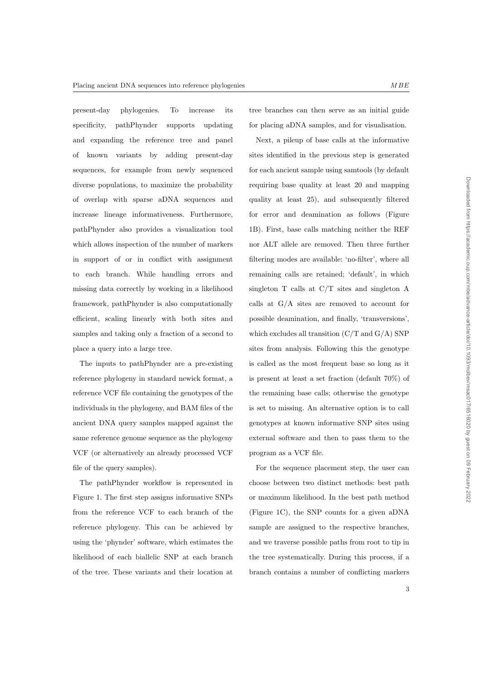present-day phylogenies. To increase its specificity, pathPhynder supports updating and expanding the reference tree and panel of known variants by adding present-day sequences, for example from newly sequenced diverse populations, to maximize the probability of overlap with sparse aDNA sequences and increase lineage informativeness. Furthermore, pathPhynder also provides a visualization tool which allows inspection of the number of markers in support of or in conflict with assignment to each branch. While handling errors and missing data correctly by working in a likelihood framework, pathPhynder is also computationally efficient, scaling linearly with both sites and samples and taking only a fraction of a second to place a query into a large tree.

The inputs to pathPhynder are a pre-existing reference phylogeny in standard newick format, a reference VCF file containing the genotypes of the individuals in the phylogeny, and BAM files of the ancient DNA query samples mapped against the same reference genome sequence as the phylogeny VCF (or alternatively an already processed VCF file of the query samples).

The pathPhynder workflow is represented in Figure 1. The first step assigns informative SNPs from the reference VCF to each branch of the reference phylogeny. This can be achieved by using the 'phynder' software, which estimates the likelihood of each biallelic SNP at each branch of the tree. These variants and their location at

tree branches can then serve as an initial guide for placing aDNA samples, and for visualisation.

Next, a pileup of base calls at the informative sites identified in the previous step is generated for each ancient sample using samtools (by default requiring base quality at least 20 and mapping quality at least 25), and subsequently filtered for error and deamination as follows (Figure 1B). First, base calls matching neither the REF nor ALT allele are removed. Then three further filtering modes are available: 'no-filter', where all remaining calls are retained; 'default', in which singleton T calls at C/T sites and singleton A calls at G/A sites are removed to account for possible deamination, and finally, 'transversions', which excludes all transition  $(C/T \text{ and } G/A)$  SNP sites from analysis. Following this the genotype is called as the most frequent base so long as it is present at least a set fraction (default 70%) of the remaining base calls; otherwise the genotype is set to missing. An alternative option is to call genotypes at known informative SNP sites using external software and then to pass them to the program as a VCF file.

For the sequence placement step, the user can choose between two distinct methods: best path or maximum likelihood. In the best path method (Figure 1C), the SNP counts for a given aDNA sample are assigned to the respective branches, and we traverse possible paths from root to tip in the tree systematically. During this process, if a branch contains a number of conflicting markers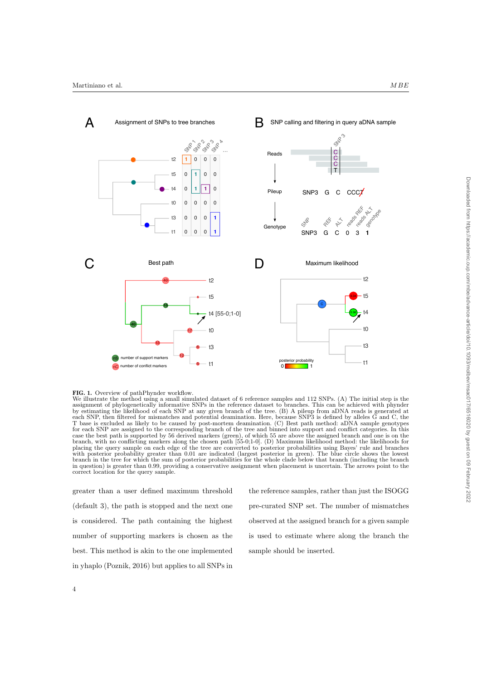



We illustrate the method using a small simulated dataset of 6 reference samples and 112 SNPs. (A) The initial step is the assignment of phylogenetically informative SNPs in the reference dataset to branches. This can be achieved with phynder by estimating the likelihood of each SNP at any given branch of the tree. (B) A pileup from aDNA reads is generated at each SNP, then filtered for mismatches and potential deamination. Here, because SNP3 is defined by alleles G and C, the T base is excluded as likely to be caused by post-mortem deamination. (C) Best path method: aDNA sample genotypes for each SNP are assigned to the corresponding branch of the tree and binned into support and conflict categories. In this case the best path is supported by 56 derived markers (green), of which 55 are above the assigned branch and one is on the branch, with no conflicting markers along the chosen path [55-0;1-0]. (D) Maximum likelihood method: the likelihoods for placing the query sample on each edge of the tree are converted to posterior probabilities using Bayes' rule and branches with posterior probability greater than 0.01 are indicated (largest posterior in green). The blue circle shows the lowest branch in the tree for which the sum of posterior probabilities for the whole clade below that branch (including the branch in question) is greater than 0.99, providing a conservative assignment when placement is uncertain. The arrows point to the correct location for the query sample.

greater than a user defined maximum threshold (default 3), the path is stopped and the next one is considered. The path containing the highest number of supporting markers is chosen as the best. This method is akin to the one implemented in yhaplo (Poznik, 2016) but applies to all SNPs in

the reference samples, rather than just the ISOGG pre-curated SNP set. The number of mismatches observed at the assigned branch for a given sample is used to estimate where along the branch the sample should be inserted.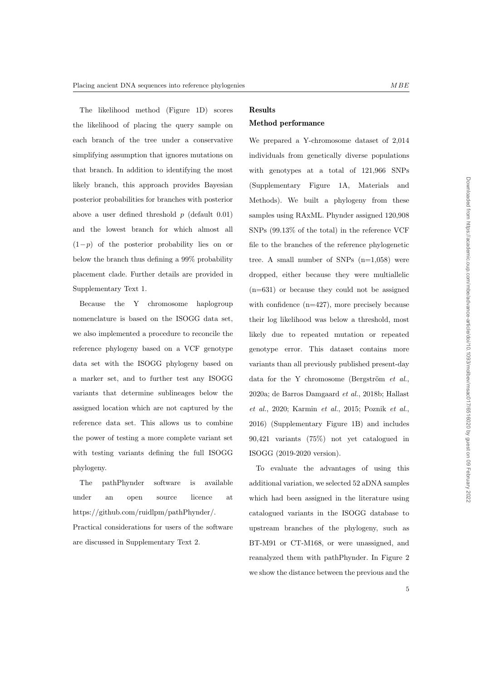The likelihood method (Figure 1D) scores the likelihood of placing the query sample on each branch of the tree under a conservative simplifying assumption that ignores mutations on that branch. In addition to identifying the most likely branch, this approach provides Bayesian posterior probabilities for branches with posterior above a user defined threshold  $p$  (default 0.01) and the lowest branch for which almost all  $(1-p)$  of the posterior probability lies on or below the branch thus defining a 99% probability placement clade. Further details are provided in Supplementary Text 1.

Because the Y chromosome haplogroup nomenclature is based on the ISOGG data set, we also implemented a procedure to reconcile the reference phylogeny based on a VCF genotype data set with the ISOGG phylogeny based on a marker set, and to further test any ISOGG variants that determine sublineages below the assigned location which are not captured by the reference data set. This allows us to combine the power of testing a more complete variant set with testing variants defining the full ISOGG phylogeny.

The pathPhynder software is available under an open source licence at https://github.com/ruidlpm/pathPhynder/.

Practical considerations for users of the software are discussed in Supplementary Text 2.

# Results

# Method performance

We prepared a Y-chromosome dataset of 2,014 individuals from genetically diverse populations with genotypes at a total of 121,966 SNPs (Supplementary Figure 1A, Materials and Methods). We built a phylogeny from these samples using RAxML. Phynder assigned 120,908 SNPs (99.13% of the total) in the reference VCF file to the branches of the reference phylogenetic tree. A small number of SNPs  $(n=1,058)$  were dropped, either because they were multiallelic (n=631) or because they could not be assigned with confidence (n=427), more precisely because their log likelihood was below a threshold, most likely due to repeated mutation or repeated genotype error. This dataset contains more variants than all previously published present-day data for the Y chromosome (Bergström  $et$   $al.,$ 2020a; de Barros Damgaard et al., 2018b; Hallast et al., 2020; Karmin et al., 2015; Poznik et al., 2016) (Supplementary Figure 1B) and includes 90,421 variants (75%) not yet catalogued in ISOGG (2019-2020 version).

To evaluate the advantages of using this additional variation, we selected 52 aDNA samples which had been assigned in the literature using catalogued variants in the ISOGG database to upstream branches of the phylogeny, such as BT-M91 or CT-M168, or were unassigned, and reanalyzed them with pathPhynder. In Figure 2 we show the distance between the previous and the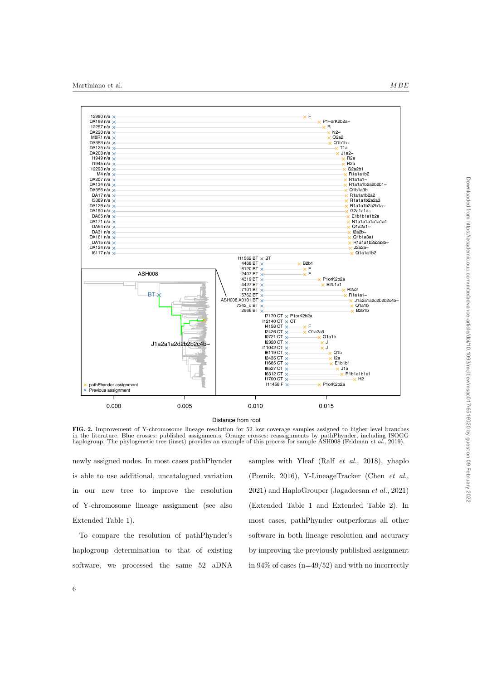

Distance from root

FIG. 2. Improvement of Y-chromosome lineage resolution for 52 low coverage samples assigned to higher level branches in the literature. Blue crosses: published assignments. Orange crosses: reassignments by pathPhynder, including ISOGG haplogroup. The phylogenetic tree (inset) provides an example of this process for sample ASH008 (Feldman et al., 2019).

newly assigned nodes. In most cases pathPhynder is able to use additional, uncatalogued variation in our new tree to improve the resolution of Y-chromosome lineage assignment (see also Extended Table 1).

To compare the resolution of pathPhynder's haplogroup determination to that of existing software, we processed the same 52 aDNA samples with Yleaf (Ralf et al., 2018), yhaplo (Poznik, 2016), Y-LineageTracker (Chen et al., 2021) and HaploGrouper (Jagadeesan et al., 2021) (Extended Table 1 and Extended Table 2). In most cases, pathPhynder outperforms all other software in both lineage resolution and accuracy by improving the previously published assignment in  $94\%$  of cases (n=49/52) and with no incorrectly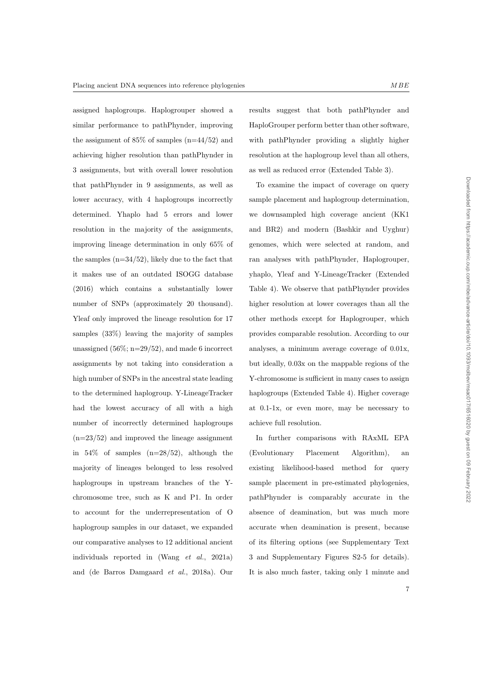assigned haplogroups. Haplogrouper showed a similar performance to pathPhynder, improving the assignment of  $85\%$  of samples  $(n=44/52)$  and achieving higher resolution than pathPhynder in 3 assignments, but with overall lower resolution that pathPhynder in 9 assignments, as well as lower accuracy, with 4 haplogroups incorrectly determined. Yhaplo had 5 errors and lower resolution in the majority of the assignments, improving lineage determination in only 65% of the samples  $(n=34/52)$ , likely due to the fact that it makes use of an outdated ISOGG database (2016) which contains a substantially lower number of SNPs (approximately 20 thousand). Yleaf only improved the lineage resolution for 17 samples (33%) leaving the majority of samples unassigned  $(56\%; n=29/52)$ , and made 6 incorrect assignments by not taking into consideration a high number of SNPs in the ancestral state leading to the determined haplogroup. Y-LineageTracker had the lowest accuracy of all with a high number of incorrectly determined haplogroups  $(n=23/52)$  and improved the lineage assignment in  $54\%$  of samples  $(n=28/52)$ , although the majority of lineages belonged to less resolved haplogroups in upstream branches of the Ychromosome tree, such as K and P1. In order to account for the underrepresentation of O haplogroup samples in our dataset, we expanded our comparative analyses to 12 additional ancient individuals reported in (Wang et al., 2021a) and (de Barros Damgaard et al., 2018a). Our results suggest that both pathPhynder and HaploGrouper perform better than other software, with pathPhynder providing a slightly higher resolution at the haplogroup level than all others, as well as reduced error (Extended Table 3).

To examine the impact of coverage on query sample placement and haplogroup determination, we downsampled high coverage ancient (KK1 and BR2) and modern (Bashkir and Uyghur) genomes, which were selected at random, and ran analyses with pathPhynder, Haplogrouper, yhaplo, Yleaf and Y-LineageTracker (Extended Table 4). We observe that pathPhynder provides higher resolution at lower coverages than all the other methods except for Haplogrouper, which provides comparable resolution. According to our analyses, a minimum average coverage of 0.01x, but ideally, 0.03x on the mappable regions of the Y-chromosome is sufficient in many cases to assign haplogroups (Extended Table 4). Higher coverage at 0.1-1x, or even more, may be necessary to achieve full resolution.

In further comparisons with RAxML EPA (Evolutionary Placement Algorithm), an existing likelihood-based method for query sample placement in pre-estimated phylogenies, pathPhynder is comparably accurate in the absence of deamination, but was much more accurate when deamination is present, because of its filtering options (see Supplementary Text 3 and Supplementary Figures S2-5 for details). It is also much faster, taking only 1 minute and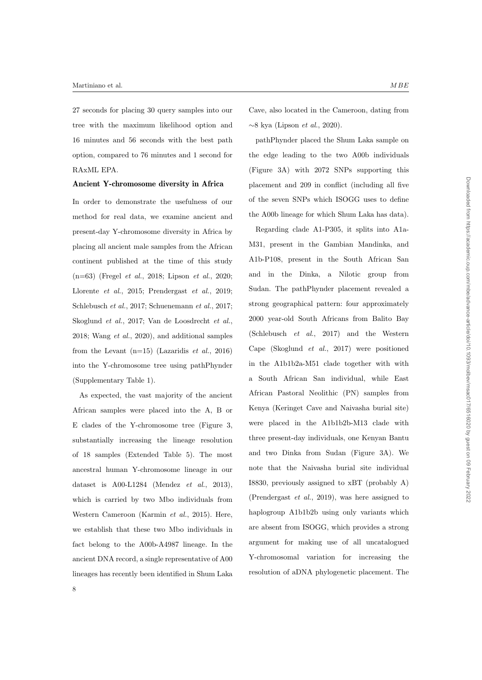27 seconds for placing 30 query samples into our tree with the maximum likelihood option and 16 minutes and 56 seconds with the best path option, compared to 76 minutes and 1 second for RAxML EPA.

## Ancient Y-chromosome diversity in Africa

In order to demonstrate the usefulness of our method for real data, we examine ancient and present-day Y-chromosome diversity in Africa by placing all ancient male samples from the African continent published at the time of this study (n=63) (Fregel et al., 2018; Lipson et al., 2020; Llorente et al., 2015; Prendergast et al., 2019; Schlebusch et al., 2017; Schuenemann et al., 2017; Skoglund et al., 2017; Van de Loosdrecht et al., 2018; Wang et al., 2020), and additional samples from the Levant  $(n=15)$  (Lazaridis *et al.*, 2016) into the Y-chromosome tree using pathPhynder (Supplementary Table 1).

As expected, the vast majority of the ancient African samples were placed into the A, B or E clades of the Y-chromosome tree (Figure 3, substantially increasing the lineage resolution of 18 samples (Extended Table 5). The most ancestral human Y-chromosome lineage in our dataset is  $A00-L1284$  (Mendez *et al.*, 2013), which is carried by two Mbo individuals from Western Cameroon (Karmin et al., 2015). Here, we establish that these two Mbo individuals in fact belong to the A00b-A4987 lineage. In the ancient DNA record, a single representative of A00 lineages has recently been identified in Shum Laka

Cave, also located in the Cameroon, dating from ∼8 kya (Lipson et al., 2020).

pathPhynder placed the Shum Laka sample on the edge leading to the two A00b individuals (Figure 3A) with 2072 SNPs supporting this placement and 209 in conflict (including all five of the seven SNPs which ISOGG uses to define the A00b lineage for which Shum Laka has data).

Regarding clade A1-P305, it splits into A1a-M31, present in the Gambian Mandinka, and A1b-P108, present in the South African San and in the Dinka, a Nilotic group from Sudan. The pathPhynder placement revealed a strong geographical pattern: four approximately 2000 year-old South Africans from Balito Bay (Schlebusch et al., 2017) and the Western Cape (Skoglund et al., 2017) were positioned in the A1b1b2a-M51 clade together with with a South African San individual, while East African Pastoral Neolithic (PN) samples from Kenya (Keringet Cave and Naivasha burial site) were placed in the A1b1b2b-M13 clade with three present-day individuals, one Kenyan Bantu and two Dinka from Sudan (Figure 3A). We note that the Naivasha burial site individual I8830, previously assigned to xBT (probably A) (Prendergast et al., 2019), was here assigned to haplogroup A1b1b2b using only variants which are absent from ISOGG, which provides a strong argument for making use of all uncatalogued Y-chromosomal variation for increasing the resolution of aDNA phylogenetic placement. The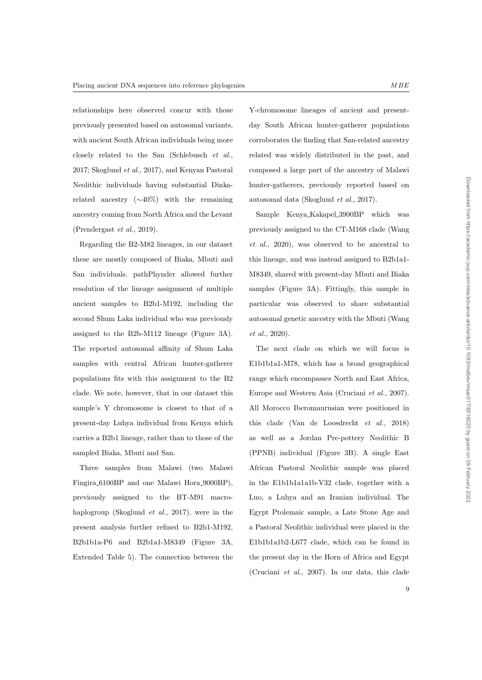relationships here observed concur with those previously presented based on autosomal variants, with ancient South African individuals being more closely related to the San (Schlebusch et al., 2017; Skoglund et al., 2017), and Kenyan Pastoral Neolithic individuals having substantial Dinkarelated ancestry (∼40%) with the remaining ancestry coming from North Africa and the Levant (Prendergast et al., 2019).

Regarding the B2-M82 lineages, in our dataset these are mostly composed of Biaka, Mbuti and San individuals. pathPhynder allowed further resolution of the lineage assignment of multiple ancient samples to B2b1-M192, including the second Shum Laka individual who was previously assigned to the B2b-M112 lineage (Figure 3A). The reported autosomal affinity of Shum Laka samples with central African hunter-gatherer populations fits with this assignment to the B2 clade. We note, however, that in our dataset this sample's Y chromosome is closest to that of a present-day Luhya individual from Kenya which carries a B2b1 lineage, rather than to those of the sampled Biaka, Mbuti and San.

Three samples from Malawi (two Malawi Fingira 6100BP and one Malawi Hora 9000BP), previously assigned to the BT-M91 macrohaplogroup (Skoglund et al., 2017), were in the present analysis further refined to B2b1-M192, B2b1b1a-P6 and B2b1a1-M8349 (Figure 3A, Extended Table 5). The connection between the Y-chromosome lineages of ancient and presentday South African hunter-gatherer populations corroborates the finding that San-related ancestry related was widely distributed in the past, and composed a large part of the ancestry of Malawi hunter-gatherers, previously reported based on autosomal data (Skoglund et al., 2017).

Sample Kenya Kakapel 3900BP which was previously assigned to the CT-M168 clade (Wang et al., 2020), was observed to be ancestral to this lineage, and was instead assigned to B2b1a1- M8349, shared with present-day Mbuti and Biaka samples (Figure 3A). Fittingly, this sample in particular was observed to share substantial autosomal genetic ancestry with the Mbuti (Wang et al., 2020).

The next clade on which we will focus is E1b1b1a1-M78, which has a broad geographical range which encompasses North and East Africa, Europe and Western Asia (Cruciani et al., 2007). All Morocco Iberomaurusian were positioned in this clade (Van de Loosdrecht et al., 2018) as well as a Jordan Pre-pottery Neolithic B (PPNB) individual (Figure 3B). A single East African Pastoral Neolithic sample was placed in the E1b1b1a1a1b-V32 clade, together with a Luo, a Luhya and an Iranian individual. The Egypt Ptolemaic sample, a Late Stone Age and a Pastoral Neolithic individual were placed in the E1b1b1a1b2-L677 clade, which can be found in the present day in the Horn of Africa and Egypt (Cruciani et al., 2007). In our data, this clade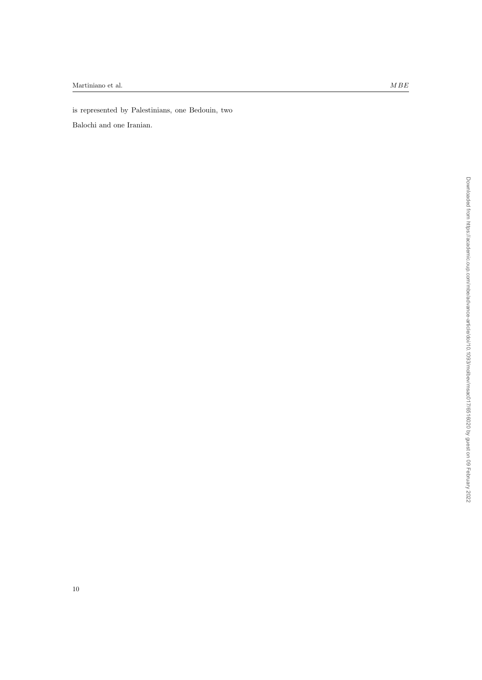is represented by Palestinians, one Bedouin, two

Balochi and one Iranian.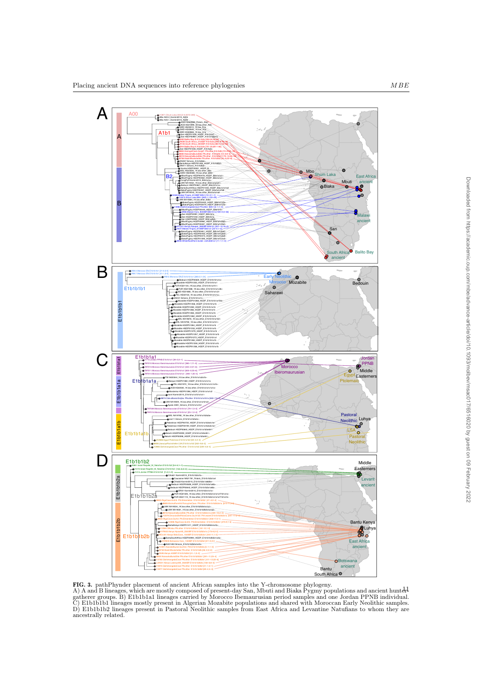

FIG. 3. pathPhynder placement of ancient African samples into the Y-chromosome phylogeny.

A) A and B lineages, which are mostly composed of present-day San, Mbuti and Biaka Pygmy populations and ancient huntergatherer groups. B) E1b1b1a1 lineages carried by Morocco Ibemaurusian period samples and one Jordan PPNB individual. C) E1b1b1b1 lineages mostly present in Algerian Mozabite populations and shared with Moroccan Early Neolithic samples. D) E1b1b1b2 lineages present in Pastoral Neolithic samples from East Africa and Levantine Natufians to whom they are ancestrally related.  $\frac{1}{2}$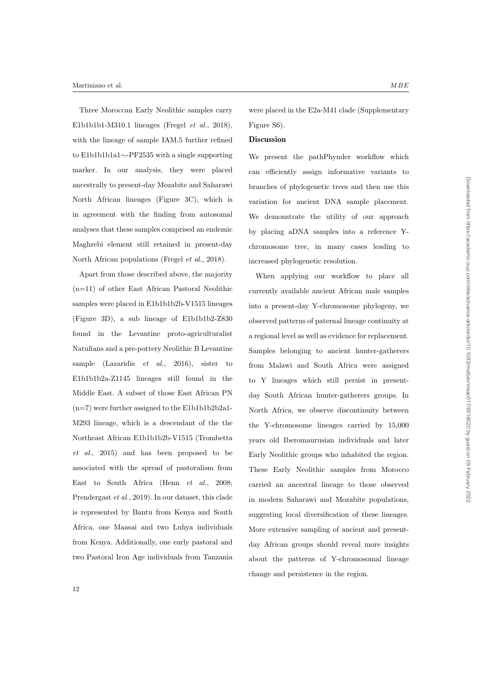#### Martiniano et al.  $MBE$

Three Moroccan Early Neolithic samples carry E1b1b1b1-M310.1 lineages (Fregel et al., 2018), with the lineage of sample IAM.5 further refined to E1b1b1b1a1∼-PF2535 with a single supporting marker. In our analysis, they were placed ancestrally to present-day Mozabite and Saharawi North African lineages (Figure 3C), which is in agreement with the finding from autosomal analyses that these samples comprised an endemic Maghrebi element still retained in present-day North African populations (Fregel et al., 2018).

Apart from those described above, the majority (n=11) of other East African Pastoral Neolithic samples were placed in E1b1b1b2b-V1515 lineages (Figure 3D), a sub lineage of E1b1b1b2-Z830 found in the Levantine proto-agriculturalist Natufians and a pre-pottery Neolithic B Levantine sample (Lazaridis  $et \ al., \ 2016$ ), sister to E1b1b1b2a-Z1145 lineages still found in the Middle East. A subset of those East African PN  $(n=7)$  were further assigned to the E1b1b1b2b2a1-M293 lineage, which is a descendant of the the Northeast African E1b1b1b2b-V1515 (Trombetta et al., 2015) and has been proposed to be associated with the spread of pastoralism from East to South Africa (Henn et al., 2008; Prendergast et al., 2019). In our dataset, this clade is represented by Bantu from Kenya and South Africa, one Maasai and two Luhya individuals from Kenya. Additionally, one early pastoral and two Pastoral Iron Age individuals from Tanzania were placed in the E2a-M41 clade (Supplementary Figure S6).

#### **Discussion**

We present the pathPhynder workflow which can efficiently assign informative variants to branches of phylogenetic trees and then use this variation for ancient DNA sample placement. We demonstrate the utility of our approach by placing aDNA samples into a reference Ychromosome tree, in many cases leading to increased phylogenetic resolution.

When applying our workflow to place all currently available ancient African male samples into a present-day Y-chromosome phylogeny, we observed patterns of paternal lineage continuity at a regional level as well as evidence for replacement. Samples belonging to ancient hunter-gatherers from Malawi and South Africa were assigned to Y lineages which still persist in presentday South African hunter-gatherers groups. In North Africa, we observe discontinuity between the Y-chromosome lineages carried by 15,000 years old Iberomaurusian individuals and later Early Neolithic groups who inhabited the region. These Early Neolithic samples from Morocco carried an ancestral lineage to those observed in modern Saharawi and Mozabite populations, suggesting local diversification of these lineages. More extensive sampling of ancient and presentday African groups should reveal more insights about the patterns of Y-chromosomal lineage change and persistence in the region.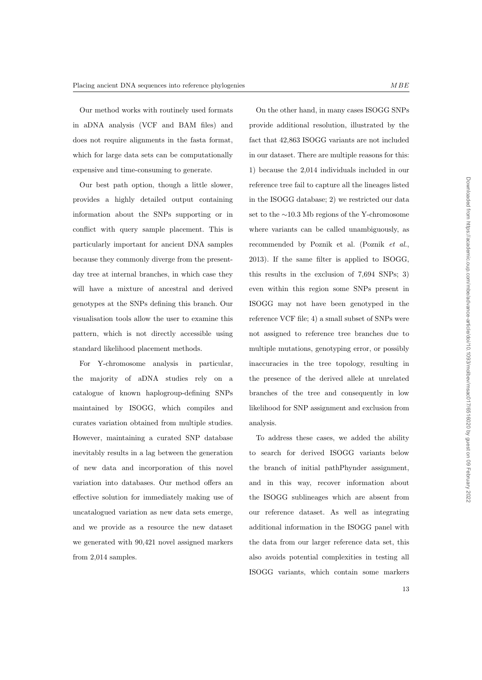Our method works with routinely used formats in aDNA analysis (VCF and BAM files) and does not require alignments in the fasta format, which for large data sets can be computationally expensive and time-consuming to generate.

Our best path option, though a little slower, provides a highly detailed output containing information about the SNPs supporting or in conflict with query sample placement. This is particularly important for ancient DNA samples because they commonly diverge from the presentday tree at internal branches, in which case they will have a mixture of ancestral and derived genotypes at the SNPs defining this branch. Our visualisation tools allow the user to examine this pattern, which is not directly accessible using standard likelihood placement methods.

For Y-chromosome analysis in particular, the majority of aDNA studies rely on a catalogue of known haplogroup-defining SNPs maintained by ISOGG, which compiles and curates variation obtained from multiple studies. However, maintaining a curated SNP database inevitably results in a lag between the generation of new data and incorporation of this novel variation into databases. Our method offers an effective solution for immediately making use of uncatalogued variation as new data sets emerge, and we provide as a resource the new dataset we generated with 90,421 novel assigned markers from 2,014 samples.

On the other hand, in many cases ISOGG SNPs provide additional resolution, illustrated by the fact that 42,863 ISOGG variants are not included in our dataset. There are multiple reasons for this: 1) because the 2,014 individuals included in our reference tree fail to capture all the lineages listed in the ISOGG database; 2) we restricted our data set to the ∼10.3 Mb regions of the Y-chromosome where variants can be called unambiguously, as recommended by Poznik et al. (Poznik et al., 2013). If the same filter is applied to ISOGG, this results in the exclusion of 7,694 SNPs; 3) even within this region some SNPs present in ISOGG may not have been genotyped in the reference VCF file; 4) a small subset of SNPs were not assigned to reference tree branches due to multiple mutations, genotyping error, or possibly inaccuracies in the tree topology, resulting in the presence of the derived allele at unrelated branches of the tree and consequently in low likelihood for SNP assignment and exclusion from analysis.

To address these cases, we added the ability to search for derived ISOGG variants below the branch of initial pathPhynder assignment, and in this way, recover information about the ISOGG sublineages which are absent from our reference dataset. As well as integrating additional information in the ISOGG panel with the data from our larger reference data set, this also avoids potential complexities in testing all ISOGG variants, which contain some markers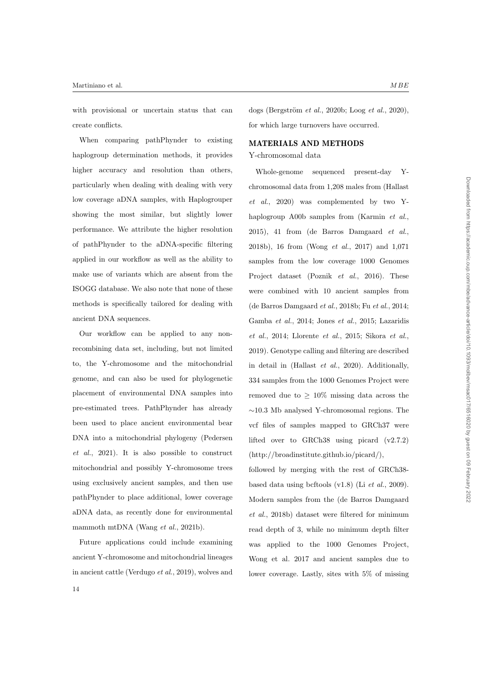with provisional or uncertain status that can create conflicts.

When comparing pathPhynder to existing haplogroup determination methods, it provides higher accuracy and resolution than others, particularly when dealing with dealing with very low coverage aDNA samples, with Haplogrouper showing the most similar, but slightly lower performance. We attribute the higher resolution of pathPhynder to the aDNA-specific filtering applied in our workflow as well as the ability to make use of variants which are absent from the ISOGG database. We also note that none of these methods is specifically tailored for dealing with ancient DNA sequences.

Our workflow can be applied to any nonrecombining data set, including, but not limited to, the Y-chromosome and the mitochondrial genome, and can also be used for phylogenetic placement of environmental DNA samples into pre-estimated trees. PathPhynder has already been used to place ancient environmental bear DNA into a mitochondrial phylogeny (Pedersen et al., 2021). It is also possible to construct mitochondrial and possibly Y-chromosome trees using exclusively ancient samples, and then use pathPhynder to place additional, lower coverage aDNA data, as recently done for environmental mammoth mtDNA (Wang *et al.*, 2021b).

Future applications could include examining ancient Y-chromosome and mitochondrial lineages in ancient cattle (Verdugo et al., 2019), wolves and dogs (Bergström et al., 2020b; Loog et al., 2020), for which large turnovers have occurred.

# MATERIALS AND METHODS

## Y-chromosomal data

Whole-genome sequenced present-day Ychromosomal data from 1,208 males from (Hallast et al., 2020) was complemented by two Yhaplogroup A00b samples from (Karmin et al., 2015), 41 from (de Barros Damgaard et al., 2018b), 16 from (Wong et al., 2017) and 1,071 samples from the low coverage 1000 Genomes Project dataset (Poznik *et al.*, 2016). These were combined with 10 ancient samples from (de Barros Damgaard et al., 2018b; Fu et al., 2014; Gamba et al., 2014; Jones et al., 2015; Lazaridis et al., 2014; Llorente et al., 2015; Sikora et al., 2019). Genotype calling and filtering are described in detail in (Hallast et al., 2020). Additionally, 334 samples from the 1000 Genomes Project were removed due to  $\geq 10\%$  missing data across the ∼10.3 Mb analysed Y-chromosomal regions. The vcf files of samples mapped to GRCh37 were lifted over to GRCh38 using picard (v2.7.2) (http://broadinstitute.github.io/picard/),

followed by merging with the rest of GRCh38 based data using bcftools  $(v1.8)$  (Li et al., 2009). Modern samples from the (de Barros Damgaard et al., 2018b) dataset were filtered for minimum read depth of 3, while no minimum depth filter was applied to the 1000 Genomes Project, Wong et al. 2017 and ancient samples due to lower coverage. Lastly, sites with 5% of missing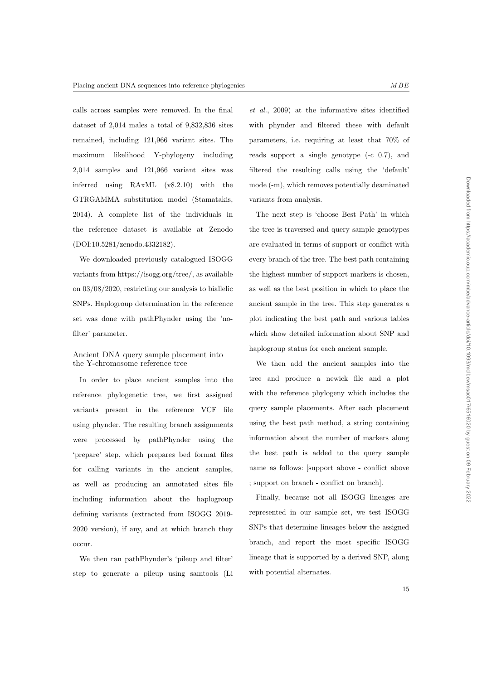Downloaded from https://academic.oup.com/mbe/advance-article/doi/10.1093/molbev/msac017/6516020 by guest on 09 February 2022 Downloaded from https://academic.oup.com/mbe/advance-article/doi/10.1093/molbev/msac017/6516020 by guest on 09 February 2022

calls across samples were removed. In the final dataset of 2,014 males a total of 9,832,836 sites remained, including 121,966 variant sites. The maximum likelihood Y-phylogeny including 2,014 samples and 121,966 variant sites was inferred using RAxML (v8.2.10) with the GTRGAMMA substitution model (Stamatakis, 2014). A complete list of the individuals in the reference dataset is available at Zenodo (DOI:10.5281/zenodo.4332182).

We downloaded previously catalogued ISOGG variants from https://isogg.org/tree/, as available on 03/08/2020, restricting our analysis to biallelic SNPs. Haplogroup determination in the reference set was done with pathPhynder using the 'nofilter' parameter.

# Ancient DNA query sample placement into the Y-chromosome reference tree

In order to place ancient samples into the reference phylogenetic tree, we first assigned variants present in the reference VCF file using phynder. The resulting branch assignments were processed by pathPhynder using the 'prepare' step, which prepares bed format files for calling variants in the ancient samples, as well as producing an annotated sites file including information about the haplogroup defining variants (extracted from ISOGG 2019- 2020 version), if any, and at which branch they occur.

We then ran pathPhynder's 'pileup and filter' step to generate a pileup using samtools (Li

et al., 2009) at the informative sites identified with phynder and filtered these with default parameters, i.e. requiring at least that 70% of reads support a single genotype (-c 0.7), and filtered the resulting calls using the 'default' mode (-m), which removes potentially deaminated variants from analysis.

The next step is 'choose Best Path' in which the tree is traversed and query sample genotypes are evaluated in terms of support or conflict with every branch of the tree. The best path containing the highest number of support markers is chosen, as well as the best position in which to place the ancient sample in the tree. This step generates a plot indicating the best path and various tables which show detailed information about SNP and haplogroup status for each ancient sample.

We then add the ancient samples into the tree and produce a newick file and a plot with the reference phylogeny which includes the query sample placements. After each placement using the best path method, a string containing information about the number of markers along the best path is added to the query sample name as follows: [support above - conflict above ; support on branch - conflict on branch].

Finally, because not all ISOGG lineages are represented in our sample set, we test ISOGG SNPs that determine lineages below the assigned branch, and report the most specific ISOGG lineage that is supported by a derived SNP, along with potential alternates.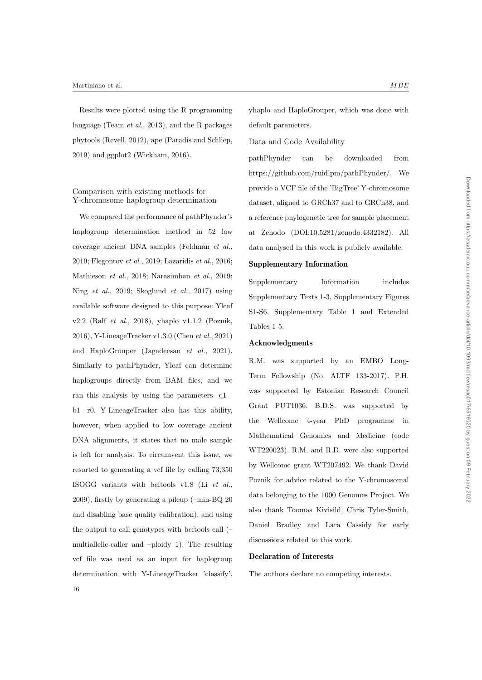Results were plotted using the R programming language (Team et al., 2013), and the R packages phytools (Revell, 2012), ape (Paradis and Schliep, 2019) and ggplot2 (Wickham, 2016).

# Comparison with existing methods for Y-chromosome haplogroup determination

We compared the performance of pathPhynder's haplogroup determination method in 52 low coverage ancient DNA samples (Feldman et al., 2019; Flegontov et al., 2019; Lazaridis et al., 2016; Mathieson et al., 2018; Narasimhan et al., 2019; Ning et al., 2019; Skoglund et al., 2017) using available software designed to this purpose: Yleaf v2.2 (Ralf et al., 2018), yhaplo v1.1.2 (Poznik, 2016), Y-LineageTracker v1.3.0 (Chen et al., 2021) and HaploGrouper (Jagadeesan et al., 2021). Similarly to pathPhynder, Yleaf can determine haplogroups directly from BAM files, and we ran this analysis by using the parameters -q1 b1 -r0. Y-LineageTracker also has this ability, however, when applied to low coverage ancient DNA alignments, it states that no male sample is left for analysis. To circumvent this issue, we resorted to generating a vcf file by calling 73,350 ISOGG variants with bcftools v1.8 (Li et al., 2009), firstly by generating a pileup (–min-BQ 20 and disabling base quality calibration), and using the output to call genotypes with bcftools call (– multiallelic-caller and –ploidy 1). The resulting vcf file was used as an input for haplogroup determination with Y-LineageTracker 'classify', 16

yhaplo and HaploGrouper, which was done with default parameters.

## Data and Code Availability

pathPhynder can be downloaded from https://github.com/ruidlpm/pathPhynder/. We provide a VCF file of the 'BigTree' Y-chromosome dataset, aligned to GRCh37 and to GRCh38, and a reference phylogenetic tree for sample placement at Zenodo (DOI:10.5281/zenodo.4332182). All data analysed in this work is publicly available.

# Supplementary Information

Supplementary Information includes Supplementary Texts 1-3, Supplementary Figures S1-S6, Supplementary Table 1 and Extended Tables 1-5.

#### Acknowledgments

R.M. was supported by an EMBO Long-Term Fellowship (No. ALTF 133-2017). P.H. was supported by Estonian Research Council Grant PUT1036. B.D.S. was supported by the Wellcome 4-year PhD programme in Mathematical Genomics and Medicine (code WT220023). R.M. and R.D. were also supported by Wellcome grant WT207492. We thank David Poznik for advice related to the Y-chromosomal data belonging to the 1000 Genomes Project. We also thank Toomas Kivisild, Chris Tyler-Smith, Daniel Bradley and Lara Cassidy for early discussions related to this work.

## Declaration of Interests

The authors declare no competing interests.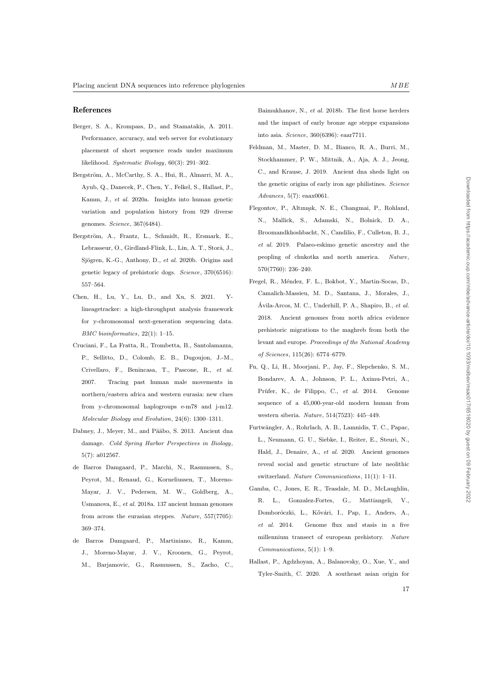#### References

- Berger, S. A., Krompass, D., and Stamatakis, A. 2011. Performance, accuracy, and web server for evolutionary placement of short sequence reads under maximum likelihood. Systematic Biology, 60(3): 291–302.
- Bergström, A., McCarthy, S. A., Hui, R., Almarri, M. A., Ayub, Q., Danecek, P., Chen, Y., Felkel, S., Hallast, P., Kamm, J., et al. 2020a. Insights into human genetic variation and population history from 929 diverse genomes. Science, 367(6484).
- Bergström, A., Frantz, L., Schmidt, R., Ersmark, E., Lebrasseur, O., Girdland-Flink, L., Lin, A. T., Storå, J., Sjögren, K.-G., Anthony, D., et al. 2020b. Origins and genetic legacy of prehistoric dogs. Science, 370(6516): 557–564.
- Chen, H., Lu, Y., Lu, D., and Xu, S. 2021. Ylineagetracker: a high-throughput analysis framework for y-chromosomal next-generation sequencing data. BMC bioinformatics, 22(1): 1–15.
- Cruciani, F., La Fratta, R., Trombetta, B., Santolamazza, P., Sellitto, D., Colomb, E. B., Dugoujon, J.-M., Crivellaro, F., Benincasa, T., Pascone, R., et al. 2007. Tracing past human male movements in northern/eastern africa and western eurasia: new clues from y-chromosomal haplogroups e-m78 and j-m12. Molecular Biology and Evolution, 24(6): 1300–1311.
- Dabney, J., Meyer, M., and Pääbo, S. 2013. Ancient dna damage. Cold Spring Harbor Perspectives in Biology, 5(7): a012567.
- de Barros Damgaard, P., Marchi, N., Rasmussen, S., Peyrot, M., Renaud, G., Korneliussen, T., Moreno-Mayar, J. V., Pedersen, M. W., Goldberg, A., Usmanova, E., et al. 2018a. 137 ancient human genomes from across the eurasian steppes. Nature, 557(7705): 369–374.
- de Barros Damgaard, P., Martiniano, R., Kamm, J., Moreno-Mayar, J. V., Kroonen, G., Peyrot, M., Barjamovic, G., Rasmussen, S., Zacho, C.,

Baimukhanov, N., et al. 2018b. The first horse herders and the impact of early bronze age steppe expansions into asia. Science, 360(6396): eaar7711.

- Feldman, M., Master, D. M., Bianco, R. A., Burri, M., Stockhammer, P. W., Mittnik, A., Aja, A. J., Jeong, C., and Krause, J. 2019. Ancient dna sheds light on the genetic origins of early iron age philistines. Science Advances, 5(7): eaax0061.
- Flegontov, P., Altınışık, N. E., Changmai, P., Rohland, N., Mallick, S., Adamski, N., Bolnick, D. A., Broomandkhoshbacht, N., Candilio, F., Culleton, B. J., et al. 2019. Palaeo-eskimo genetic ancestry and the peopling of chukotka and north america. Nature, 570(7760): 236–240.
- Fregel, R., Méndez, F. L., Bokbot, Y., Martin-Socas, D., Camalich-Massieu, M. D., Santana, J., Morales, J., Ávila-Arcos, M. C., Underhill, P. A., Shapiro, B.,  $et$   $al.$ 2018. Ancient genomes from north africa evidence prehistoric migrations to the maghreb from both the levant and europe. Proceedings of the National Academy of Sciences, 115(26): 6774–6779.
- Fu, Q., Li, H., Moorjani, P., Jay, F., Slepchenko, S. M., Bondarev, A. A., Johnson, P. L., Aximu-Petri, A., Prüfer, K., de Filippo, C., et al. 2014. Genome sequence of a 45,000-year-old modern human from western siberia. Nature, 514(7523): 445–449.
- Furtw¨angler, A., Rohrlach, A. B., Lamnidis, T. C., Papac, L., Neumann, G. U., Siebke, I., Reiter, E., Steuri, N., Hald, J., Denaire, A., et al. 2020. Ancient genomes reveal social and genetic structure of late neolithic switzerland. Nature Communications, 11(1): 1–11.
- Gamba, C., Jones, E. R., Teasdale, M. D., McLaughlin, R. L., Gonzalez-Fortes, G., Mattiangeli, Domboróczki, L., Kővári, I., Pap, I., Anders, A., et al. 2014. Genome flux and stasis in a five millennium transect of european prehistory. Nature Communications, 5(1): 1–9.
- Hallast, P., Agdzhoyan, A., Balanovsky, O., Xue, Y., and Tyler-Smith, C. 2020. A southeast asian origin for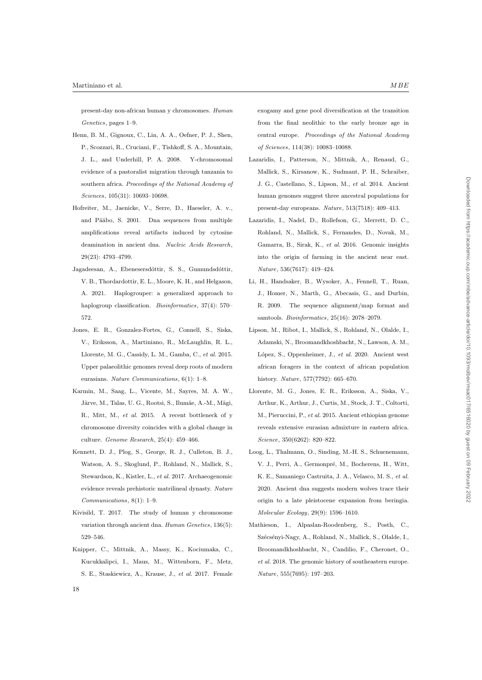present-day non-african human y chromosomes. Human Genetics, pages 1–9.

- Henn, B. M., Gignoux, C., Lin, A. A., Oefner, P. J., Shen, P., Scozzari, R., Cruciani, F., Tishkoff, S. A., Mountain, J. L., and Underhill, P. A. 2008. Y-chromosomal evidence of a pastoralist migration through tanzania to southern africa. Proceedings of the National Academy of Sciences, 105(31): 10693–10698.
- Hofreiter, M., Jaenicke, V., Serre, D., Haeseler, A. v., and Pääbo, S. 2001. Dna sequences from multiple amplifications reveal artifacts induced by cytosine deamination in ancient dna. Nucleic Acids Research, 29(23): 4793–4799.
- Jagadeesan, A., Ebenesersdóttir, S. S., Gumundsdóttir, V. B., Thordardottir, E. L., Moore, K. H., and Helgason, A. 2021. Haplogrouper: a generalized approach to haplogroup classification. *Bioinformatics*, 37(4): 570– 572.
- Jones, E. R., Gonzalez-Fortes, G., Connell, S., Siska, V., Eriksson, A., Martiniano, R., McLaughlin, R. L., Llorente, M. G., Cassidy, L. M., Gamba, C., et al. 2015. Upper palaeolithic genomes reveal deep roots of modern eurasians. Nature Communications, 6(1): 1–8.
- Karmin, M., Saag, L., Vicente, M., Sayres, M. A. W., Järve, M., Talas, U. G., Rootsi, S., Ilumäe, A.-M., Mägi, R., Mitt, M., et al. 2015. A recent bottleneck of y chromosome diversity coincides with a global change in culture. Genome Research, 25(4): 459–466.
- Kennett, D. J., Plog, S., George, R. J., Culleton, B. J., Watson, A. S., Skoglund, P., Rohland, N., Mallick, S., Stewardson, K., Kistler, L., et al. 2017. Archaeogenomic evidence reveals prehistoric matrilineal dynasty. Nature Communications, 8(1): 1–9.
- Kivisild, T. 2017. The study of human y chromosome variation through ancient dna. Human Genetics, 136(5): 529–546.
- Knipper, C., Mittnik, A., Massy, K., Kociumaka, C., Kucukkalipci, I., Maus, M., Wittenborn, F., Metz, S. E., Staskiewicz, A., Krause, J., et al. 2017. Female

exogamy and gene pool diversification at the transition from the final neolithic to the early bronze age in central europe. Proceedings of the National Academy of Sciences, 114(38): 10083–10088.

- Lazaridis, I., Patterson, N., Mittnik, A., Renaud, G., Mallick, S., Kirsanow, K., Sudmant, P. H., Schraiber, J. G., Castellano, S., Lipson, M., et al. 2014. Ancient human genomes suggest three ancestral populations for present-day europeans. Nature, 513(7518): 409–413.
- Lazaridis, I., Nadel, D., Rollefson, G., Merrett, D. C., Rohland, N., Mallick, S., Fernandes, D., Novak, M., Gamarra, B., Sirak, K., et al. 2016. Genomic insights into the origin of farming in the ancient near east. Nature, 536(7617): 419–424.
- Li, H., Handsaker, B., Wysoker, A., Fennell, T., Ruan, J., Homer, N., Marth, G., Abecasis, G., and Durbin, R. 2009. The sequence alignment/map format and samtools. Bioinformatics, 25(16): 2078–2079.
- Lipson, M., Ribot, I., Mallick, S., Rohland, N., Olalde, I., Adamski, N., Broomandkhoshbacht, N., Lawson, A. M., López, S., Oppenheimer, J., et al. 2020. Ancient west african foragers in the context of african population history. Nature, 577(7792): 665–670.
- Llorente, M. G., Jones, E. R., Eriksson, A., Siska, V., Arthur, K., Arthur, J., Curtis, M., Stock, J. T., Coltorti, M., Pieruccini, P., et al. 2015. Ancient ethiopian genome reveals extensive eurasian admixture in eastern africa. Science, 350(6262): 820–822.
- Loog, L., Thalmann, O., Sinding, M.-H. S., Schuenemann, V. J., Perri, A., Germonpré, M., Bocherens, H., Witt, K. E., Samaniego Castruita, J. A., Velasco, M. S., et al. 2020. Ancient dna suggests modern wolves trace their origin to a late pleistocene expansion from beringia. Molecular Ecology, 29(9): 1596–1610.
- Mathieson, I., Alpaslan-Roodenberg, S., Posth, C., Szécsényi-Nagy, A., Rohland, N., Mallick, S., Olalde, I., Broomandkhoshbacht, N., Candilio, F., Cheronet, O., et al. 2018. The genomic history of southeastern europe. Nature, 555(7695): 197–203.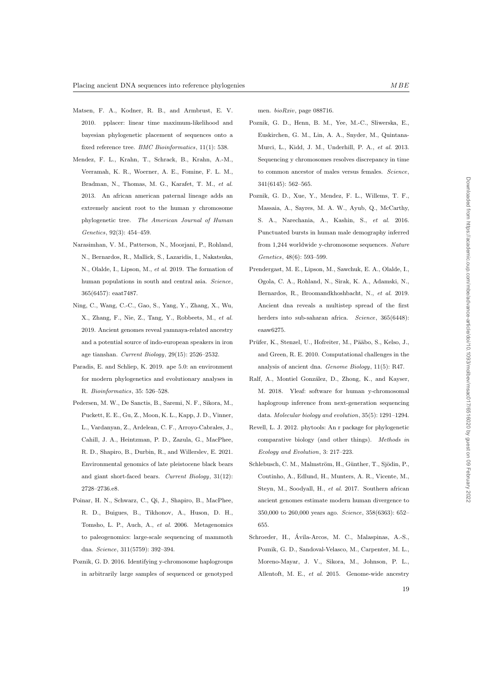- Matsen, F. A., Kodner, R. B., and Armbrust, E. V. 2010. pplacer: linear time maximum-likelihood and bayesian phylogenetic placement of sequences onto a fixed reference tree. *BMC Bioinformatics*, 11(1): 538.
- Mendez, F. L., Krahn, T., Schrack, B., Krahn, A.-M., Veeramah, K. R., Woerner, A. E., Fomine, F. L. M., Bradman, N., Thomas, M. G., Karafet, T. M., et al. 2013. An african american paternal lineage adds an extremely ancient root to the human y chromosome phylogenetic tree. The American Journal of Human Genetics, 92(3): 454–459.
- Narasimhan, V. M., Patterson, N., Moorjani, P., Rohland, N., Bernardos, R., Mallick, S., Lazaridis, I., Nakatsuka, N., Olalde, I., Lipson, M., et al. 2019. The formation of human populations in south and central asia. Science, 365(6457): eaat7487.
- Ning, C., Wang, C.-C., Gao, S., Yang, Y., Zhang, X., Wu, X., Zhang, F., Nie, Z., Tang, Y., Robbeets, M., et al. 2019. Ancient genomes reveal yamnaya-related ancestry and a potential source of indo-european speakers in iron age tianshan. Current Biology, 29(15): 2526–2532.
- Paradis, E. and Schliep, K. 2019. ape 5.0: an environment for modern phylogenetics and evolutionary analyses in R. Bioinformatics, 35: 526–528.
- Pedersen, M. W., De Sanctis, B., Saremi, N. F., Sikora, M., Puckett, E. E., Gu, Z., Moon, K. L., Kapp, J. D., Vinner, L., Vardanyan, Z., Ardelean, C. F., Arroyo-Cabrales, J., Cahill, J. A., Heintzman, P. D., Zazula, G., MacPhee, R. D., Shapiro, B., Durbin, R., and Willerslev, E. 2021. Environmental genomics of late pleistocene black bears and giant short-faced bears. Current Biology, 31(12): 2728–2736.e8.
- Poinar, H. N., Schwarz, C., Qi, J., Shapiro, B., MacPhee, R. D., Buigues, B., Tikhonov, A., Huson, D. H., Tomsho, L. P., Auch, A., et al. 2006. Metagenomics to paleogenomics: large-scale sequencing of mammoth dna. Science, 311(5759): 392–394.
- Poznik, G. D. 2016. Identifying y-chromosome haplogroups in arbitrarily large samples of sequenced or genotyped

men. bioRxiv, page 088716.

- Poznik, G. D., Henn, B. M., Yee, M.-C., Sliwerska, E., Euskirchen, G. M., Lin, A. A., Snyder, M., Quintana-Murci, L., Kidd, J. M., Underhill, P. A., et al. 2013. Sequencing y chromosomes resolves discrepancy in time to common ancestor of males versus females. Science, 341(6145): 562–565.
- Poznik, G. D., Xue, Y., Mendez, F. L., Willems, T. F., Massaia, A., Sayres, M. A. W., Ayub, Q., McCarthy, S. A., Narechania, A., Kashin, S., et al. 2016. Punctuated bursts in human male demography inferred from 1,244 worldwide y-chromosome sequences. Nature Genetics, 48(6): 593–599.
- Prendergast, M. E., Lipson, M., Sawchuk, E. A., Olalde, I., Ogola, C. A., Rohland, N., Sirak, K. A., Adamski, N., Bernardos, R., Broomandkhoshbacht, N., et al. 2019. Ancient dna reveals a multistep spread of the first herders into sub-saharan africa. Science, 365(6448): eaaw6275.
- Prüfer, K., Stenzel, U., Hofreiter, M., Pääbo, S., Kelso, J., and Green, R. E. 2010. Computational challenges in the analysis of ancient dna. Genome Biology, 11(5): R47.
- Ralf, A., Montiel González, D., Zhong, K., and Kayser, M. 2018. Yleaf: software for human y-chromosomal haplogroup inference from next-generation sequencing data. Molecular biology and evolution, 35(5): 1291–1294.
- Revell, L. J. 2012. phytools: An r package for phylogenetic comparative biology (and other things). Methods in Ecology and Evolution, 3: 217–223.
- Schlebusch, C. M., Malmström, H., Günther, T., Sjödin, P., Coutinho, A., Edlund, H., Munters, A. R., Vicente, M., Steyn, M., Soodyall, H., et al. 2017. Southern african ancient genomes estimate modern human divergence to 350,000 to 260,000 years ago. Science, 358(6363): 652– 655.
- Schroeder, H., Avila-Arcos, M. C., Malaspinas, A.-S., ´ Poznik, G. D., Sandoval-Velasco, M., Carpenter, M. L., Moreno-Mayar, J. V., Sikora, M., Johnson, P. L., Allentoft, M. E., et al. 2015. Genome-wide ancestry